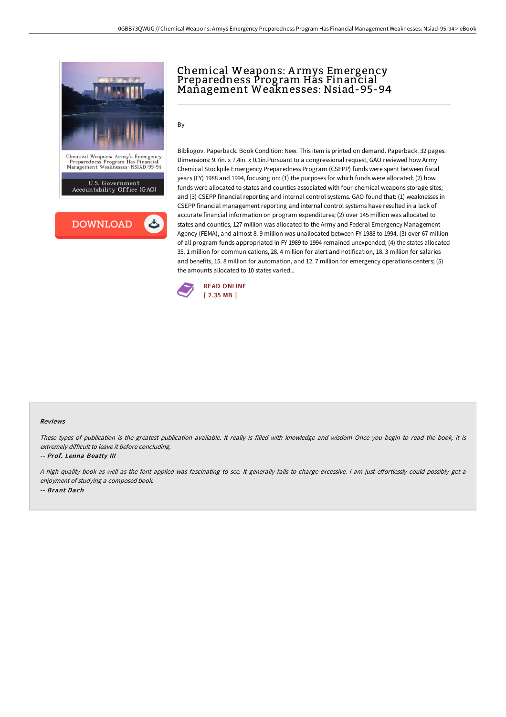



# Chemical Weapons: A rmys Emergency Preparedness Program Has Financial Management Weaknesses: Nsiad-95-94

By -

Bibliogov. Paperback. Book Condition: New. This item is printed on demand. Paperback. 32 pages. Dimensions: 9.7in. x 7.4in. x 0.1in.Pursuant to a congressional request, GAO reviewed how Army Chemical Stockpile Emergency Preparedness Program (CSEPP) funds were spent between fiscal years (FY) 1988 and 1994, focusing on: (1) the purposes for which funds were allocated; (2) how funds were allocated to states and counties associated with four chemical weapons storage sites; and (3) CSEPP financial reporting and internal control systems. GAO found that: (1) weaknesses in CSEPP financial management reporting and internal control systems have resulted in a lack of accurate financial information on program expenditures; (2) over 145 million was allocated to states and counties, 127 million was allocated to the Army and Federal Emergency Management Agency (FEMA), and almost 8. 9 million was unallocated between FY 1988 to 1994; (3) over 67 million of all program funds appropriated in FY 1989 to 1994 remained unexpended; (4) the states allocated 35. 1 million for communications, 28. 4 million for alert and notification, 18. 3 million for salaries and benefits, 15. 8 million for automation, and 12. 7 million for emergency operations centers; (5) the amounts allocated to 10 states varied...



#### Reviews

These types of publication is the greatest publication available. It really is filled with knowledge and wisdom Once you begin to read the book, it is extremely difficult to leave it before concluding.

-- Prof. Lenna Beatty III

A high quality book as well as the font applied was fascinating to see. It generally fails to charge excessive. I am just effortlessly could possibly get a enjoyment of studying <sup>a</sup> composed book. -- Brant Dach